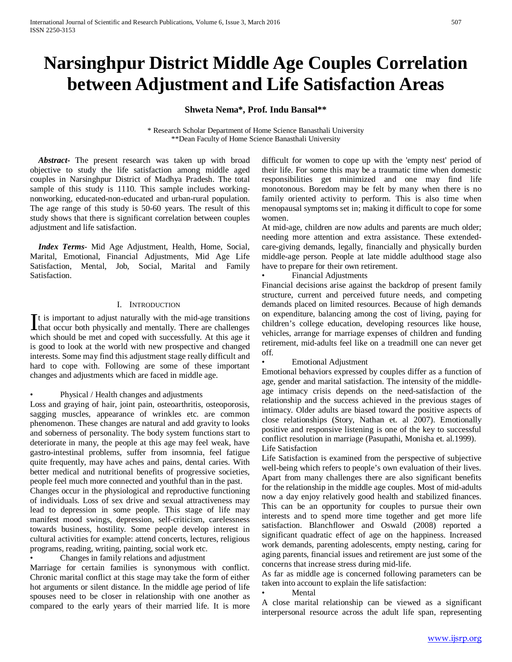# **Narsinghpur District Middle Age Couples Correlation between Adjustment and Life Satisfaction Areas**

# **Shweta Nema\*, Prof. Indu Bansal\*\***

\* Research Scholar Department of Home Science Banasthali University \*\*Dean Faculty of Home Science Banasthali University

 *Abstract***-** The present research was taken up with broad objective to study the life satisfaction among middle aged couples in Narsinghpur District of Madhya Pradesh. The total sample of this study is 1110. This sample includes workingnonworking, educated-non-educated and urban-rural population. The age range of this study is 50-60 years. The result of this study shows that there is significant correlation between couples adjustment and life satisfaction.

 *Index Terms*- Mid Age Adjustment, Health, Home, Social, Marital, Emotional, Financial Adjustments, Mid Age Life Satisfaction, Mental, Job, Social, Marital and Family Satisfaction.

#### I. INTRODUCTION

 $\mathbf{T}$ t is important to adjust naturally with the mid-age transitions It is important to adjust naturally with the mid-age transitions<br>that occur both physically and mentally. There are challenges which should be met and coped with successfully. At this age it is good to look at the world with new prospective and changed interests. Some may find this adjustment stage really difficult and hard to cope with. Following are some of these important changes and adjustments which are faced in middle age.

• Physical / Health changes and adjustments

Loss and graying of hair, joint pain, osteoarthritis, osteoporosis, sagging muscles, appearance of wrinkles etc. are common phenomenon. These changes are natural and add gravity to looks and soberness of personality. The body system functions start to deteriorate in many, the people at this age may feel weak, have gastro-intestinal problems, suffer from insomnia, feel fatigue quite frequently, may have aches and pains, dental caries. With better medical and nutritional benefits of progressive societies, people feel much more connected and youthful than in the past.

Changes occur in the physiological and reproductive functioning of individuals. Loss of sex drive and sexual attractiveness may lead to depression in some people. This stage of life may manifest mood swings, depression, self-criticism, carelessness towards business, hostility. Some people develop interest in cultural activities for example: attend concerts, lectures, religious programs, reading, writing, painting, social work etc.

• Changes in family relations and adjustment

Marriage for certain families is synonymous with conflict. Chronic marital conflict at this stage may take the form of either hot arguments or silent distance. In the middle age period of life spouses need to be closer in relationship with one another as compared to the early years of their married life. It is more difficult for women to cope up with the 'empty nest' period of their life. For some this may be a traumatic time when domestic responsibilities get minimized and one may find life monotonous. Boredom may be felt by many when there is no family oriented activity to perform. This is also time when menopausal symptoms set in; making it difficult to cope for some women.

At mid-age, children are now adults and parents are much older; needing more attention and extra assistance. These extendedcare-giving demands, legally, financially and physically burden middle-age person. People at late middle adulthood stage also have to prepare for their own retirement.

### • Financial Adjustments

Financial decisions arise against the backdrop of present family structure, current and perceived future needs, and competing demands placed on limited resources. Because of high demands on expenditure, balancing among the cost of living, paying for children's college education, developing resources like house, vehicles, arrange for marriage expenses of children and funding retirement, mid-adults feel like on a treadmill one can never get off.

## • Emotional Adjustment

Emotional behaviors expressed by couples differ as a function of age, gender and marital satisfaction. The intensity of the middleage intimacy crisis depends on the need-satisfaction of the relationship and the success achieved in the previous stages of intimacy. Older adults are biased toward the positive aspects of close relationships (Story, Nathan et. al 2007). Emotionally positive and responsive listening is one of the key to successful conflict resolution in marriage (Pasupathi, Monisha et. al.1999). Life Satisfaction

Life Satisfaction is examined from the perspective of subjective well-being which refers to people's own evaluation of their lives. Apart from many challenges there are also significant benefits for the relationship in the middle age couples. Most of mid-adults now a day enjoy relatively good health and stabilized finances. This can be an opportunity for couples to pursue their own interests and to spend more time together and get more life satisfaction. Blanchflower and Oswald (2008) reported a significant quadratic effect of age on the happiness. Increased work demands, parenting adolescents, empty nesting, caring for aging parents, financial issues and retirement are just some of the concerns that increase stress during mid-life.

As far as middle age is concerned following parameters can be taken into account to explain the life satisfaction:

#### **Mental**

A close marital relationship can be viewed as a significant interpersonal resource across the adult life span, representing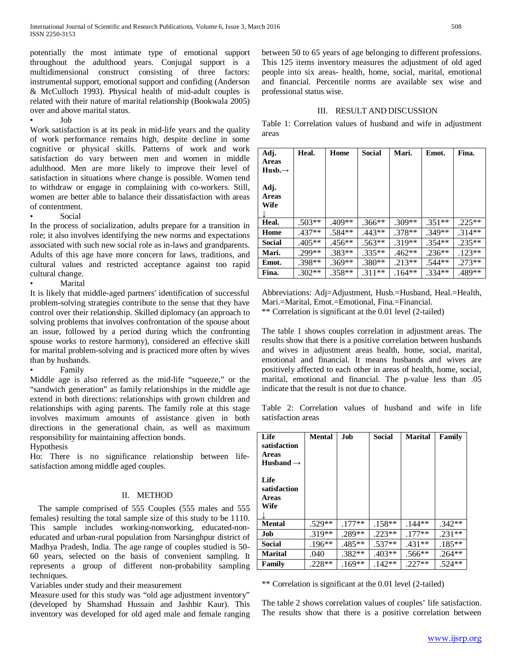potentially the most intimate type of emotional support throughout the adulthood years. Conjugal support is a multidimensional construct consisting of three factors: instrumental support, emotional support and confiding (Anderson & McCulloch 1993). Physical health of mid-adult couples is related with their nature of marital relationship (Bookwala 2005) over and above marital status.

• Job

Work satisfaction is at its peak in mid-life years and the quality of work performance remains high, despite decline in some cognitive or physical skills. Patterns of work and work satisfaction do vary between men and women in middle adulthood. Men are more likely to improve their level of satisfaction in situations where change is possible. Women tend to withdraw or engage in complaining with co-workers. Still, women are better able to balance their dissatisfaction with areas of contentment.

• Social

In the process of socialization, adults prepare for a transition in role; it also involves identifying the new norms and expectations associated with such new social role as in-laws and grandparents. Adults of this age have more concern for laws, traditions, and cultural values and restricted acceptance against too rapid cultural change.

**Marital** 

It is likely that middle-aged partners' identification of successful problem-solving strategies contribute to the sense that they have control over their relationship. Skilled diplomacy (an approach to solving problems that involves confrontation of the spouse about an issue, followed by a period during which the confronting spouse works to restore harmony), considered an effective skill for marital problem-solving and is practiced more often by wives than by husbands.

• Family

Middle age is also referred as the mid-life "squeeze," or the "sandwich generation" as family relationships in the middle age extend in both directions: relationships with grown children and relationships with aging parents. The family role at this stage involves maximum amounts of assistance given in both directions in the generational chain, as well as maximum responsibility for maintaining affection bonds.

Hypothesis

Ho: There is no significance relationship between lifesatisfaction among middle aged couples.

### II. METHOD

 The sample comprised of 555 Couples (555 males and 555 females) resulting the total sample size of this study to be 1110. This sample includes working-nonworking, educated-noneducated and urban-rural population from Narsinghpur district of Madhya Pradesh, India. The age range of couples studied is 50- 60 years, selected on the basis of convenient sampling. It represents a group of different non-probability sampling techniques.

Variables under study and their measurement

Measure used for this study was "old age adjustment inventory" (developed by Shamshad Hussain and Jashbir Kaur). This inventory was developed for old aged male and female ranging between 50 to 65 years of age belonging to different professions. This 125 items inventory measures the adjustment of old aged people into six areas- health, home, social, marital, emotional and financial. Percentile norms are available sex wise and professional status wise.

# III. RESULT AND DISCUSSION

Table 1: Correlation values of husband and wife in adjustment areas

| Adj.<br><b>Areas</b><br>$Hush.\rightarrow$ | Heal.    | Home     | Social   | Mari.    | Emot.    | Fina.    |
|--------------------------------------------|----------|----------|----------|----------|----------|----------|
| Adj.<br><b>Areas</b><br>Wife               |          |          |          |          |          |          |
| Heal.                                      | $.503**$ | .409**   | $.366**$ | $.309**$ | $.351**$ | $.225**$ |
| Home                                       | $.437**$ | $.584**$ | $.443**$ | $.378**$ | $.349**$ | $.314**$ |
| <b>Social</b>                              | $.405**$ | $.456**$ | $.563**$ | $.319**$ | $.354**$ | $.235**$ |
| Mari.                                      | .299**   | $.383**$ | $.335**$ | $.462**$ | $.236**$ | $.123**$ |
| Emot.                                      | .398**   | $.369**$ | .380**   | $.213**$ | .544**   | $.273**$ |
| Fina.                                      | $.302**$ | $.358**$ | $.311**$ | $.164**$ | $.334**$ | .489**   |

Abbreviations: Adj=Adjustment, Husb.=Husband, Heal.=Health, Mari.=Marital, Emot.=Emotional, Fina.=Financial. \*\* Correlation is significant at the 0.01 level (2-tailed)

The table 1 shows couples correlation in adjustment areas. The results show that there is a positive correlation between husbands and wives in adjustment areas health, home, social, marital, emotional and financial. It means husbands and wives are positively affected to each other in areas of health, home, social, marital, emotional and financial. The p-value less than .05 indicate that the result is not due to chance.

Table 2: Correlation values of husband and wife in life satisfaction areas

| Life<br>satisfaction<br><b>Areas</b><br>Husband $\rightarrow$<br>Life<br>satisfaction<br><b>Areas</b><br>Wife | <b>Mental</b> | Job      | <b>Social</b> | <b>Marital</b> | Family   |
|---------------------------------------------------------------------------------------------------------------|---------------|----------|---------------|----------------|----------|
| <b>Mental</b>                                                                                                 | .529**        | $.177**$ | $.158**$      | $.144**$       | $.342**$ |
| Job                                                                                                           | .319**        | $.289**$ | $.223**$      | $.177**$       | $.231**$ |
| <b>Social</b>                                                                                                 | .196**        | .485**   | .537**        | .431**         | $.185**$ |
| <b>Marital</b>                                                                                                | .040          | $.382**$ | .403**        | .566**         | $.264**$ |
| Family                                                                                                        | .228**        | $.169**$ | $.142**$      | $.227**$       | $.524**$ |

\*\* Correlation is significant at the 0.01 level (2-tailed)

The table 2 shows correlation values of couples' life satisfaction. The results show that there is a positive correlation between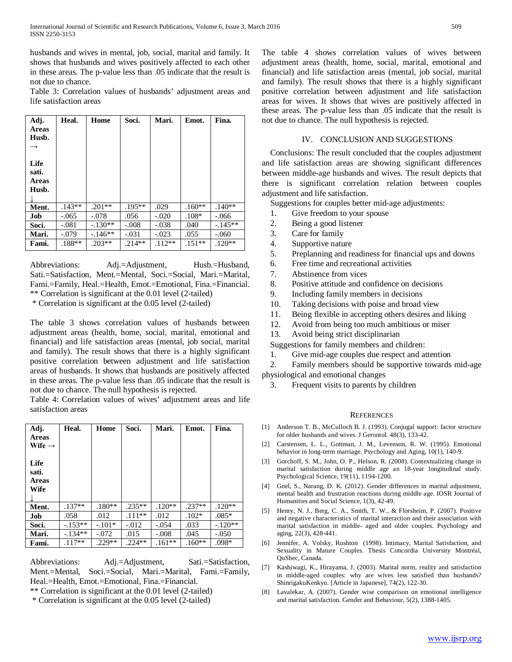husbands and wives in mental, job, social, marital and family. It shows that husbands and wives positively affected to each other in these areas. The p-value less than .05 indicate that the result is not due to chance.

Table 3: Correlation values of husbands' adjustment areas and life satisfaction areas

| Adj.  | Heal.    | Home      | Soci.     | Mari.    | Emot.    | Fina.    |
|-------|----------|-----------|-----------|----------|----------|----------|
| Areas |          |           |           |          |          |          |
| Husb. |          |           |           |          |          |          |
|       |          |           |           |          |          |          |
|       |          |           |           |          |          |          |
| Life  |          |           |           |          |          |          |
| sati. |          |           |           |          |          |          |
| Areas |          |           |           |          |          |          |
| Husb. |          |           |           |          |          |          |
|       |          |           |           |          |          |          |
|       |          |           |           |          |          |          |
| Ment. | $.143**$ | $.201**$  | $.195***$ | .029     | $.160**$ | $.140**$ |
| Job   | $-.065$  | $-.078$   | .056      | $-.020$  | $.108*$  | $-.066$  |
| Soci. | $-.081$  | $-.130**$ | $-.008$   | $-.038$  | .040     | $-145**$ |
| Mari. | $-.079$  | $-146**$  | $-.031$   | $-.023$  | .055     | $-.060$  |
| Fami. | $.188**$ | $.203**$  | $.214**$  | $.112**$ | $.151**$ | $.120**$ |

Abbreviations: Adj.=Adjustment, Husb.=Husband, Sati.=Satisfaction, Ment.=Mental, Soci.=Social, Mari.=Marital, Fami.=Family, Heal.=Health, Emot.=Emotional, Fina.=Financial. \*\* Correlation is significant at the 0.01 level (2-tailed) \* Correlation is significant at the 0.05 level (2-tailed)

The table 3 shows correlation values of husbands between adjustment areas (health, home, social, marital, emotional and financial) and life satisfaction areas (mental, job social, marital and family). The result shows that there is a highly significant positive correlation between adjustment and life satisfaction areas of husbands. It shows that husbands are positively affected in these areas. The p-value less than .05 indicate that the result is not due to chance. The null hypothesis is rejected.

Table 4: Correlation values of wives' adjustment areas and life satisfaction areas

| Adj.<br>Areas<br>Wife $\rightarrow$   | Heal.     | Home     | Soci.    | Mari.    | Emot.    | Fina.     |
|---------------------------------------|-----------|----------|----------|----------|----------|-----------|
| Life<br>sati.<br><b>Areas</b><br>Wife |           |          |          |          |          |           |
| Ment.                                 | $.137**$  | $.180**$ | $.235**$ | $.120**$ | $.237**$ | $.120**$  |
| Job                                   | .058      | .012     | $.111**$ | .012     | $.102*$  | $.085*$   |
| Soci.                                 | $-.153**$ | $-.101*$ | $-0.012$ | $-.054$  | .033     | $-.120**$ |
| Mari.                                 | $-134**$  | $-.072$  | .015     | $-.008$  | .045     | $-.050$   |
| Fami.                                 | $.117**$  | $.229**$ | $.224**$ | $.161**$ | $.160**$ | .098*     |

Abbreviations: Adj.=Adjustment, Sati.=Satisfaction, Ment.=Mental, Soci.=Social, Mari.=Marital, Fami.=Family, Heal.=Health, Emot.=Emotional, Fina.=Financial.

\*\* Correlation is significant at the 0.01 level (2-tailed)

\* Correlation is significant at the 0.05 level (2-tailed)

The table 4 shows correlation values of wives between adjustment areas (health, home, social, marital, emotional and financial) and life satisfaction areas (mental, job social, marital and family). The result shows that there is a highly significant positive correlation between adjustment and life satisfaction areas for wives. It shows that wives are positively affected in these areas. The p-value less than .05 indicate that the result is not due to chance. The null hypothesis is rejected.

### IV. CONCLUSION AND SUGGESTIONS

Conclusions: The result concluded that the couples adjustment and life satisfaction areas are showing significant differences between middle-age husbands and wives. The result depicts that there is significant correlation relation between couples adjustment and life satisfaction.

Suggestions for couples better mid-age adjustments:

- 1. Give freedom to your spouse
- 2. Being a good listener
- 3. Care for family
- 4. Supportive nature
- 5. Preplanning and readiness for financial ups and downs
- 6. Free time and recreational activities
- 7. Abstinence from vices
- 8. Positive attitude and confidence on decisions
- 9. Including family members in decisions
- 10. Taking decisions with poise and broad view
- 11. Being flexible in accepting others desires and liking
- 12. Avoid from being too much ambitious or miser
- 13. Avoid being strict disciplinarian

Suggestions for family members and children:

- 1. Give mid-age couples due respect and attention
- 2. Family members should be supportive towards mid-age

physiological and emotional changes

3. Frequent visits to parents by children

#### **REFERENCES**

- [1] Anderson T. B., McCulloch B. J. (1993). Conjugal support: factor structure for older husbands and wives. J Gerontol. 48(3), 133-42.
- [2] Carstensen, L. L., Gottman, J. M., Levenson, R. W. (1995). Emotional behavior in long-term marriage. Psychology and Aging, 10(1), 140-9.
- [3] Gorchoff, S. M., John, O. P., Helson, R. (2008). Contextualizing change in marital satisfaction during middle age an 18-year longitudinal study. Psychological Science, 19(11), 1194-1200.
- [4] Goel, S., Narang, D. K. (2012). Gender differences in marital adjustment, mental health and frustration reactions during middle age. IOSR Journal of Humanities and Social Science, 1(3), 42-49.
- [5] Henry, N. J., Berg, C. A., Smith, T. W., & Florsheim, P. (2007). Positive and negative characteristics of marital interaction and their association with marital satisfaction in middle- aged and older couples. Psychology and aging, 22(3), 428-441.
- [6] Jennifer, A. Volsky, Rushton (1998). Intimacy, Marital Satisfaction, and Sexuality in Mature Couples. Thesis Concordia University Montréal, QuSbec, Canada.
- [7] Kashiwagi, K., Hirayama, J. (2003). Marital norm, reality and satisfaction in middle-aged couples: why are wives less satisfied than husbands? ShinrigakuKenkyu. [Article in Japanese], 74(2), 122-30.
- [8] Lavalekar, A. (2007). Gender wise comparison on emotional intelligence and marital satisfaction. Gender and Behaviour, 5(2), 1388-1405.